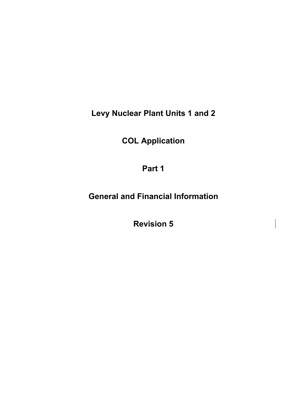**Levy Nuclear Plant Units 1 and 2** 

**COL Application** 

**Part 1** 

**General and Financial Information** 

**Revision 5**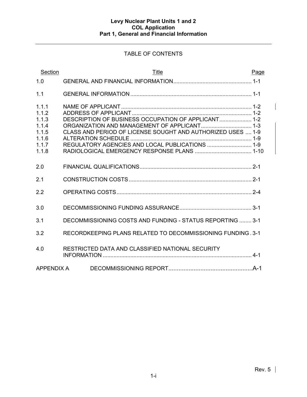# TABLE OF CONTENTS

| Section                                                              | Title                                                                                                                                                                                                                 | Page |
|----------------------------------------------------------------------|-----------------------------------------------------------------------------------------------------------------------------------------------------------------------------------------------------------------------|------|
| 1.0                                                                  |                                                                                                                                                                                                                       |      |
| 1.1                                                                  |                                                                                                                                                                                                                       |      |
| 1.1.1<br>1.1.2<br>1.1.3<br>1.1.4<br>1.1.5<br>1.1.6<br>1.1.7<br>1.1.8 | DESCRIPTION OF BUSINESS OCCUPATION OF APPLICANT 1-2<br>ORGANIZATION AND MANAGEMENT OF APPLICANT 1-3<br>CLASS AND PERIOD OF LICENSE SOUGHT AND AUTHORIZED USES  1-9<br>REGULATORY AGENCIES AND LOCAL PUBLICATIONS  1-9 |      |
| 2.0                                                                  |                                                                                                                                                                                                                       |      |
| 2.1                                                                  |                                                                                                                                                                                                                       |      |
| 2.2                                                                  |                                                                                                                                                                                                                       |      |
| 3.0                                                                  |                                                                                                                                                                                                                       |      |
| 3.1                                                                  | DECOMMISSIONING COSTS AND FUNDING - STATUS REPORTING  3-1                                                                                                                                                             |      |
| 3.2                                                                  | RECORDKEEPING PLANS RELATED TO DECOMMISSIONING FUNDING . 3-1                                                                                                                                                          |      |
| 4.0                                                                  | RESTRICTED DATA AND CLASSIFIED NATIONAL SECURITY                                                                                                                                                                      |      |
| <b>APPENDIX A</b>                                                    |                                                                                                                                                                                                                       |      |

 $\overline{\mathsf{I}}$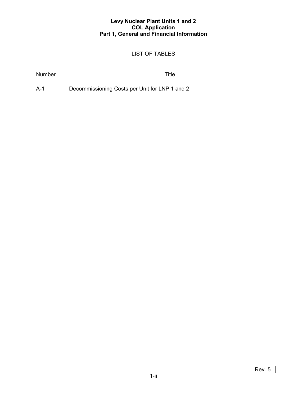# LIST OF TABLES

# Number Title

A-1 Decommissioning Costs per Unit for LNP 1 and 2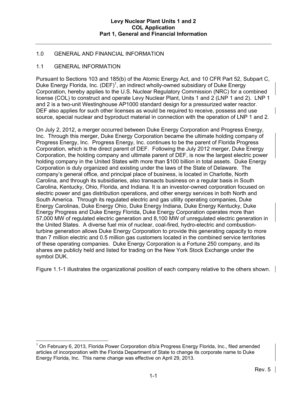## 1.0 GENERAL AND FINANCIAL INFORMATION

### 1.1 GENERAL INFORMATION

Pursuant to Sections 103 and 185(b) of the Atomic Energy Act, and 10 CFR Part 52, Subpart C, Duke Energy Florida, Inc.  $(DEF)^1$ , an indirect wholly-owned subsidiary of Duke Energy Corporation, hereby applies to the U.S. Nuclear Regulatory Commission (NRC) for a combined license (COL) to construct and operate Levy Nuclear Plant, Units 1 and 2 (LNP 1 and 2). LNP 1 and 2 is a two-unit Westinghouse AP1000 standard design for a pressurized water reactor. DEF also applies for such other licenses as would be required to receive, possess and use source, special nuclear and byproduct material in connection with the operation of LNP 1 and 2.

On July 2, 2012, a merger occurred between Duke Energy Corporation and Progress Energy, Inc. Through this merger, Duke Energy Corporation became the ultimate holding company of Progress Energy, Inc. Progress Energy, Inc. continues to be the parent of Florida Progress Corporation, which is the direct parent of DEF. Following the July 2012 merger, Duke Energy Corporation, the holding company and ultimate parent of DEF, is now the largest electric power holding company in the United States with more than \$100 billion in total assets. Duke Energy Corporation is duly organized and existing under the laws of the State of Delaware. The company's general office, and principal place of business, is located in Charlotte, North Carolina, and through its subsidiaries, also transacts business on a regular basis in South Carolina, Kentucky, Ohio, Florida, and Indiana. It is an investor-owned corporation focused on electric power and gas distribution operations, and other energy services in both North and South America. Through its regulated electric and gas utility operating companies, Duke Energy Carolinas, Duke Energy Ohio, Duke Energy Indiana, Duke Energy Kentucky, Duke Energy Progress and Duke Energy Florida, Duke Energy Corporation operates more than 57,000 MW of regulated electric generation and 8,100 MW of unregulated electric generation in the United States. A diverse fuel mix of nuclear, coal-fired, hydro-electric and combustionturbine generation allows Duke Energy Corporation to provide this generating capacity to more than 7 million electric and 0.5 million gas customers located in the combined service territories of these operating companies. Duke Energy Corporation is a Fortune 250 company, and its shares are publicly held and listed for trading on the New York Stock Exchange under the symbol DUK.

Figure 1.1-1 illustrates the organizational position of each company relative to the others shown.

 $\overline{a}$  $1$  On February 6, 2013, Florida Power Corporation d/b/a Progress Energy Florida, Inc., filed amended articles of incorporation with the Florida Department of State to change its corporate name to Duke Energy Florida, Inc. This name change was effective on April 29, 2013.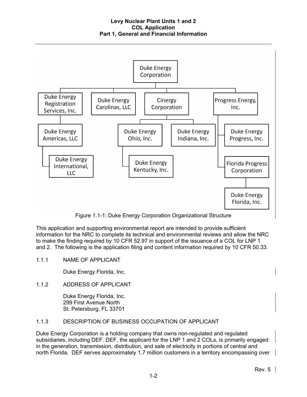

Figure 1.1-1: Duke Energy Corporation Organizational Structure

This application and supporting environmental report are intended to provide sufficient information for the NRC to complete its technical and environmental reviews and allow the NRC to make the finding required by 10 CFR 52.97 in support of the issuance of a COL for LNP 1 and 2. The following is the application filing and content information required by 10 CFR 50.33.

1.1.1 NAME OF APPLICANT

Duke Energy Florida, Inc.

1.1.2 ADDRESS OF APPLICANT

Duke Energy Florida, Inc. 299 First Avenue North St. Petersburg, FL 33701

# 1.1.3 DESCRIPTION OF BUSINESS OCCUPATION OF APPLICANT

Duke Energy Corporation is a holding company that owns non-regulated and regulated subsidiaries, including DEF. DEF, the applicant for the LNP 1 and 2 COLs, is primarily engaged in the generation, transmission, distribution, and sale of electricity in portions of central and north Florida. DEF serves approximately 1.7 million customers in a territory encompassing over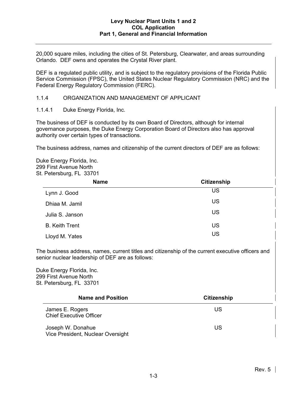20,000 square miles, including the cities of St. Petersburg, Clearwater, and areas surrounding Orlando. DEF owns and operates the Crystal River plant.

DEF is a regulated public utility, and is subject to the regulatory provisions of the Florida Public Service Commission (FPSC), the United States Nuclear Regulatory Commission (NRC) and the Federal Energy Regulatory Commission (FERC).

1.1.4 ORGANIZATION AND MANAGEMENT OF APPLICANT

1.1.4.1 Duke Energy Florida, Inc.

The business of DEF is conducted by its own Board of Directors, although for internal governance purposes, the Duke Energy Corporation Board of Directors also has approval authority over certain types of transactions.

The business address, names and citizenship of the current directors of DEF are as follows:

Duke Energy Florida, Inc. 299 First Avenue North St. Petersburg, FL 33701

| <b>Name</b>           | <b>Citizenship</b> |  |  |  |  |
|-----------------------|--------------------|--|--|--|--|
| Lynn J. Good          | US                 |  |  |  |  |
| Dhiaa M. Jamil        | US                 |  |  |  |  |
| Julia S. Janson       | US                 |  |  |  |  |
| <b>B.</b> Keith Trent | US                 |  |  |  |  |
| Lloyd M. Yates        | US                 |  |  |  |  |

The business address, names, current titles and citizenship of the current executive officers and senior nuclear leadership of DEF are as follows:

Duke Energy Florida, Inc. 299 First Avenue North St. Petersburg, FL 33701

| <b>Name and Position</b>                               | <b>Citizenship</b> |  |  |  |
|--------------------------------------------------------|--------------------|--|--|--|
| James E. Rogers<br><b>Chief Executive Officer</b>      | US                 |  |  |  |
| Joseph W. Donahue<br>Vice President, Nuclear Oversight | US                 |  |  |  |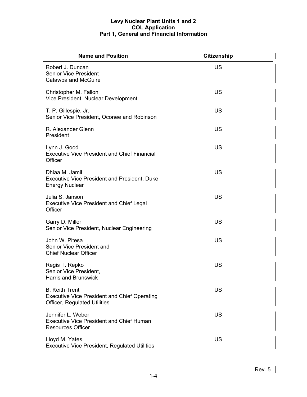| <b>Name and Position</b>                                                                                            | <b>Citizenship</b> |
|---------------------------------------------------------------------------------------------------------------------|--------------------|
| Robert J. Duncan<br><b>Senior Vice President</b><br>Catawba and McGuire                                             | <b>US</b>          |
| Christopher M. Fallon<br>Vice President, Nuclear Development                                                        | <b>US</b>          |
| T. P. Gillespie, Jr.<br>Senior Vice President, Oconee and Robinson                                                  | <b>US</b>          |
| R. Alexander Glenn<br>President                                                                                     | <b>US</b>          |
| Lynn J. Good<br><b>Executive Vice President and Chief Financial</b><br>Officer                                      | <b>US</b>          |
| Dhiaa M. Jamil<br><b>Executive Vice President and President, Duke</b><br><b>Energy Nuclear</b>                      | <b>US</b>          |
| Julia S. Janson<br><b>Executive Vice President and Chief Legal</b><br>Officer                                       | <b>US</b>          |
| Garry D. Miller<br>Senior Vice President, Nuclear Engineering                                                       | <b>US</b>          |
| John W. Pitesa<br>Senior Vice President and<br><b>Chief Nuclear Officer</b>                                         | <b>US</b>          |
| Regis T. Repko<br>Senior Vice President,<br><b>Harris and Brunswick</b>                                             | <b>US</b>          |
| <b>B. Keith Trent</b><br><b>Executive Vice President and Chief Operating</b><br><b>Officer, Regulated Utilities</b> | <b>US</b>          |
| Jennifer L. Weber<br><b>Executive Vice President and Chief Human</b><br><b>Resources Officer</b>                    | US                 |
| Lloyd M. Yates<br><b>Executive Vice President, Regulated Utilities</b>                                              | US                 |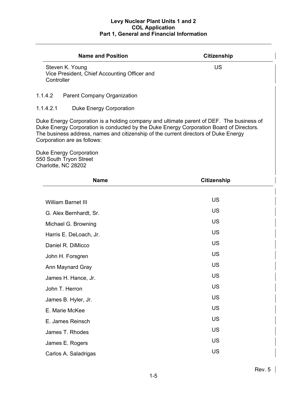| <b>Name and Position</b>                                                                                                                                                                                                                                                                                  | <b>Citizenship</b> |  |  |  |  |
|-----------------------------------------------------------------------------------------------------------------------------------------------------------------------------------------------------------------------------------------------------------------------------------------------------------|--------------------|--|--|--|--|
| Steven K. Young<br>Vice President, Chief Accounting Officer and<br>Controller                                                                                                                                                                                                                             | <b>US</b>          |  |  |  |  |
| 1.1.4.2<br>Parent Company Organization                                                                                                                                                                                                                                                                    |                    |  |  |  |  |
| 1.1.4.2.1<br>Duke Energy Corporation                                                                                                                                                                                                                                                                      |                    |  |  |  |  |
| Duke Energy Corporation is a holding company and ultimate parent of DEF. The business of<br>Duke Energy Corporation is conducted by the Duke Energy Corporation Board of Directors.<br>The business address, names and citizenship of the current directors of Duke Energy<br>Corporation are as follows: |                    |  |  |  |  |
| <b>Duke Energy Corporation</b><br>550 South Tryon Street<br>Charlotte, NC 28202                                                                                                                                                                                                                           |                    |  |  |  |  |
| <b>Name</b>                                                                                                                                                                                                                                                                                               | <b>Citizenship</b> |  |  |  |  |
|                                                                                                                                                                                                                                                                                                           |                    |  |  |  |  |
| William Barnet III                                                                                                                                                                                                                                                                                        | US                 |  |  |  |  |
| G. Alex Bernhardt, Sr.                                                                                                                                                                                                                                                                                    | <b>US</b>          |  |  |  |  |
| Michael G. Browning                                                                                                                                                                                                                                                                                       | US                 |  |  |  |  |
| Harris E. DeLoach, Jr.                                                                                                                                                                                                                                                                                    | US                 |  |  |  |  |
| Daniel R. DiMicco                                                                                                                                                                                                                                                                                         | <b>US</b>          |  |  |  |  |
| John H. Forsgren                                                                                                                                                                                                                                                                                          | US                 |  |  |  |  |
| Ann Maynard Gray                                                                                                                                                                                                                                                                                          | US                 |  |  |  |  |
| James H. Hance, Jr.                                                                                                                                                                                                                                                                                       | US                 |  |  |  |  |
| John T. Herron                                                                                                                                                                                                                                                                                            | US                 |  |  |  |  |
| James B. Hyler, Jr.                                                                                                                                                                                                                                                                                       | US                 |  |  |  |  |
| E. Marie McKee                                                                                                                                                                                                                                                                                            | US                 |  |  |  |  |
| E. James Reinsch                                                                                                                                                                                                                                                                                          | US                 |  |  |  |  |
| James T. Rhodes                                                                                                                                                                                                                                                                                           | <b>US</b>          |  |  |  |  |
| James E. Rogers                                                                                                                                                                                                                                                                                           | US                 |  |  |  |  |
| Carlos A. Saladrigas                                                                                                                                                                                                                                                                                      | US                 |  |  |  |  |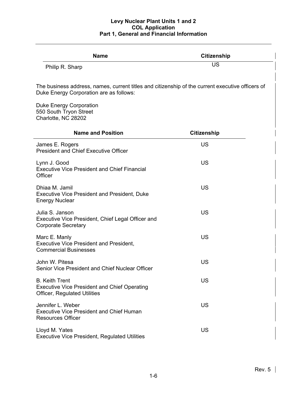| <b>Name</b>                                                                                                                                                                                             | <b>Citizenship</b> |  |  |  |
|---------------------------------------------------------------------------------------------------------------------------------------------------------------------------------------------------------|--------------------|--|--|--|
| Philip R. Sharp                                                                                                                                                                                         | US                 |  |  |  |
| The business address, names, current titles and citizenship of the current executive officers of<br>Duke Energy Corporation are as follows:<br><b>Duke Energy Corporation</b><br>550 South Tryon Street |                    |  |  |  |
| Charlotte, NC 28202                                                                                                                                                                                     |                    |  |  |  |
| <b>Name and Position</b>                                                                                                                                                                                | <b>Citizenship</b> |  |  |  |
| James E. Rogers<br><b>President and Chief Executive Officer</b>                                                                                                                                         | <b>US</b>          |  |  |  |
| Lynn J. Good<br><b>Executive Vice President and Chief Financial</b><br>Officer                                                                                                                          | <b>US</b>          |  |  |  |
| Dhiaa M. Jamil<br><b>Executive Vice President and President, Duke</b><br><b>Energy Nuclear</b>                                                                                                          | <b>US</b>          |  |  |  |
| Julia S. Janson<br>Executive Vice President, Chief Legal Officer and<br><b>Corporate Secretary</b>                                                                                                      | <b>US</b>          |  |  |  |
| Marc E. Manly<br><b>Executive Vice President and President,</b><br><b>Commercial Businesses</b>                                                                                                         | <b>US</b>          |  |  |  |
| John W. Pitesa<br>Senior Vice President and Chief Nuclear Officer                                                                                                                                       | US                 |  |  |  |
| <b>B. Keith Trent</b><br><b>Executive Vice President and Chief Operating</b><br><b>Officer, Regulated Utilities</b>                                                                                     | <b>US</b>          |  |  |  |
| Jennifer L. Weber<br><b>Executive Vice President and Chief Human</b><br><b>Resources Officer</b>                                                                                                        | US                 |  |  |  |
| Lloyd M. Yates<br><b>Executive Vice President, Regulated Utilities</b>                                                                                                                                  | US                 |  |  |  |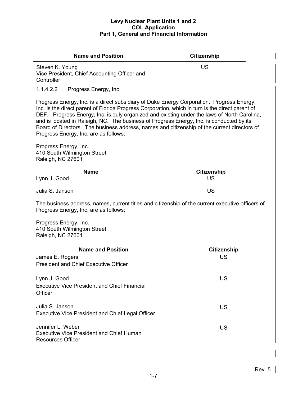| <b>Name and Position</b>                                                                                                                                                                                                                                                                                                                                                                                                                                                                                                         | <b>Citizenship</b> |  |  |  |  |
|----------------------------------------------------------------------------------------------------------------------------------------------------------------------------------------------------------------------------------------------------------------------------------------------------------------------------------------------------------------------------------------------------------------------------------------------------------------------------------------------------------------------------------|--------------------|--|--|--|--|
| Steven K. Young<br>Vice President, Chief Accounting Officer and<br>Controller                                                                                                                                                                                                                                                                                                                                                                                                                                                    | US                 |  |  |  |  |
| 1.1.4.2.2<br>Progress Energy, Inc.                                                                                                                                                                                                                                                                                                                                                                                                                                                                                               |                    |  |  |  |  |
| Progress Energy, Inc. is a direct subsidiary of Duke Energy Corporation. Progress Energy,<br>Inc. is the direct parent of Florida Progress Corporation, which in turn is the direct parent of<br>DEF. Progress Energy, Inc. is duly organized and existing under the laws of North Carolina,<br>and is located in Raleigh, NC. The business of Progress Energy, Inc. is conducted by its<br>Board of Directors. The business address, names and citizenship of the current directors of<br>Progress Energy, Inc. are as follows: |                    |  |  |  |  |
| Progress Energy, Inc.<br>410 South Wilmington Street<br>Raleigh, NC 27601                                                                                                                                                                                                                                                                                                                                                                                                                                                        |                    |  |  |  |  |
| <b>Name</b>                                                                                                                                                                                                                                                                                                                                                                                                                                                                                                                      | <b>Citizenship</b> |  |  |  |  |
| Lynn J. Good                                                                                                                                                                                                                                                                                                                                                                                                                                                                                                                     | <b>US</b>          |  |  |  |  |
| Julia S. Janson                                                                                                                                                                                                                                                                                                                                                                                                                                                                                                                  | <b>US</b>          |  |  |  |  |
| The business address, names, current titles and citizenship of the current executive officers of<br>Progress Energy, Inc. are as follows:                                                                                                                                                                                                                                                                                                                                                                                        |                    |  |  |  |  |
| Progress Energy, Inc.<br>410 South Wilmington Street<br>Raleigh, NC 27601                                                                                                                                                                                                                                                                                                                                                                                                                                                        |                    |  |  |  |  |
| <b>Name and Position</b>                                                                                                                                                                                                                                                                                                                                                                                                                                                                                                         | <b>Citizenship</b> |  |  |  |  |
| James E. Rogers<br><b>President and Chief Executive Officer</b>                                                                                                                                                                                                                                                                                                                                                                                                                                                                  | US                 |  |  |  |  |
| Lynn J. Good<br><b>Executive Vice President and Chief Financial</b><br>Officer                                                                                                                                                                                                                                                                                                                                                                                                                                                   | US                 |  |  |  |  |
| Julia S. Janson<br><b>Executive Vice President and Chief Legal Officer</b>                                                                                                                                                                                                                                                                                                                                                                                                                                                       | <b>US</b>          |  |  |  |  |
| Jennifer L. Weber<br><b>Executive Vice President and Chief Human</b><br><b>Resources Officer</b>                                                                                                                                                                                                                                                                                                                                                                                                                                 | <b>US</b>          |  |  |  |  |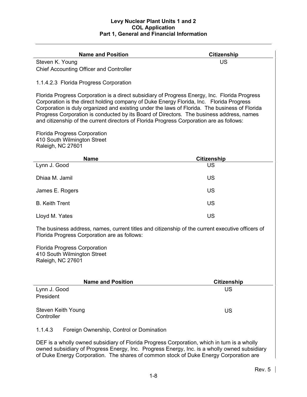| <b>Name and Position</b>                                                                                                                                                                                                                                                                                                                                                                                                                                                          | <b>Citizenship</b> |  |  |  |  |
|-----------------------------------------------------------------------------------------------------------------------------------------------------------------------------------------------------------------------------------------------------------------------------------------------------------------------------------------------------------------------------------------------------------------------------------------------------------------------------------|--------------------|--|--|--|--|
| Steven K. Young                                                                                                                                                                                                                                                                                                                                                                                                                                                                   | <b>US</b>          |  |  |  |  |
| <b>Chief Accounting Officer and Controller</b>                                                                                                                                                                                                                                                                                                                                                                                                                                    |                    |  |  |  |  |
| 1.1.4.2.3 Florida Progress Corporation                                                                                                                                                                                                                                                                                                                                                                                                                                            |                    |  |  |  |  |
| Florida Progress Corporation is a direct subsidiary of Progress Energy, Inc. Florida Progress<br>Corporation is the direct holding company of Duke Energy Florida, Inc. Florida Progress<br>Corporation is duly organized and existing under the laws of Florida. The business of Florida<br>Progress Corporation is conducted by its Board of Directors. The business address, names<br>and citizenship of the current directors of Florida Progress Corporation are as follows: |                    |  |  |  |  |
| <b>Florida Progress Corporation</b><br>410 South Wilmington Street<br>Raleigh, NC 27601                                                                                                                                                                                                                                                                                                                                                                                           |                    |  |  |  |  |
| <b>Name</b>                                                                                                                                                                                                                                                                                                                                                                                                                                                                       | <b>Citizenship</b> |  |  |  |  |
| Lynn J. Good                                                                                                                                                                                                                                                                                                                                                                                                                                                                      | <b>US</b>          |  |  |  |  |
| Dhiaa M. Jamil                                                                                                                                                                                                                                                                                                                                                                                                                                                                    | <b>US</b>          |  |  |  |  |
| James E. Rogers                                                                                                                                                                                                                                                                                                                                                                                                                                                                   | US                 |  |  |  |  |
| <b>B.</b> Keith Trent                                                                                                                                                                                                                                                                                                                                                                                                                                                             | US                 |  |  |  |  |
| Lloyd M. Yates                                                                                                                                                                                                                                                                                                                                                                                                                                                                    | <b>US</b>          |  |  |  |  |
| The business address, names, current titles and citizenship of the current executive officers of<br>Florida Progress Corporation are as follows:                                                                                                                                                                                                                                                                                                                                  |                    |  |  |  |  |
| <b>Florida Progress Corporation</b><br>410 South Wilmington Street<br>Raleigh, NC 27601                                                                                                                                                                                                                                                                                                                                                                                           |                    |  |  |  |  |
| <b>Name and Position</b>                                                                                                                                                                                                                                                                                                                                                                                                                                                          | <b>Citizenship</b> |  |  |  |  |
| Lynn J. Good<br>President                                                                                                                                                                                                                                                                                                                                                                                                                                                         | US                 |  |  |  |  |
| Steven Keith Young<br>Controller                                                                                                                                                                                                                                                                                                                                                                                                                                                  | US                 |  |  |  |  |
| 1.1.4.3<br>Foreign Ownership, Control or Domination                                                                                                                                                                                                                                                                                                                                                                                                                               |                    |  |  |  |  |
| DEF is a wholly owned subsidiary of Florida Progress Corporation, which in turn is a wholly<br>owned subsidiary of Progress Energy, Inc. Progress Energy, Inc. is a wholly owned subsidiary<br>of Duke Energy Corporation. The shares of common stock of Duke Energy Corporation are                                                                                                                                                                                              |                    |  |  |  |  |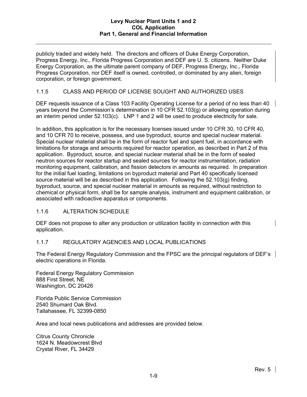publicly traded and widely held. The directors and officers of Duke Energy Corporation, Progress Energy, Inc., Florida Progress Corporation and DEF are U. S. citizens. Neither Duke Energy Corporation, as the ultimate parent company of DEF, Progress Energy, Inc., Florida Progress Corporation, nor DEF itself is owned, controlled, or dominated by any alien, foreign corporation, or foreign government.

## 1.1.5 CLASS AND PERIOD OF LICENSE SOUGHT AND AUTHORIZED USES

DEF requests issuance of a Class 103 Facility Operating License for a period of no less than 40 years beyond the Commission's determination in 10 CFR 52.103(g) or allowing operation during an interim period under 52.103(c). LNP 1 and 2 will be used to produce electricity for sale.

In addition, this application is for the necessary licenses issued under 10 CFR 30, 10 CFR 40, and 10 CFR 70 to receive, possess, and use byproduct, source and special nuclear material. Special nuclear material shall be in the form of reactor fuel and spent fuel, in accordance with limitations for storage and amounts required for reactor operation, as described in Part 2 of this application. Byproduct, source, and special nuclear material shall be in the form of sealed neutron sources for reactor startup and sealed sources for reactor instrumentation, radiation monitoring equipment, calibration, and fission detectors in amounts as required. In preparation for the initial fuel loading, limitations on byproduct material and Part 40 specifically licensed source material will be as described in this application. Following the 52.103(g) finding, byproduct, source, and special nuclear material in amounts as required, without restriction to chemical or physical form, shall be for sample analysis, instrument and equipment calibration, or associated with radioactive apparatus or components.

### 1.1.6 ALTERATION SCHEDULE

DEF does not propose to alter any production or utilization facility in connection with this application.

### 1.1.7 REGULATORY AGENCIES AND LOCAL PUBLICATIONS

The Federal Energy Regulatory Commission and the FPSC are the principal regulators of DEF's electric operations in Florida.

Federal Energy Regulatory Commission 888 First Street, NE Washington, DC 20426

Florida Public Service Commission 2540 Shumard Oak Blvd. Tallahassee, FL 32399-0850

Area and local news publications and addresses are provided below.

Citrus County Chronicle 1624 N. Meadowcrest Blvd Crystal River, FL 34429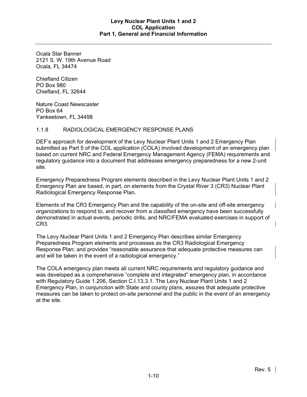Ocala Star Banner 2121 S. W. 19th Avenue Road Ocala, FL 34474

Chiefland Citizen PO Box 980 Chiefland, FL 32644

Nature Coast Newscaster PO Box 64 Yankeetown, FL 34498

### 1.1.8 RADIOLOGICAL EMERGENCY RESPONSE PLANS

DEF's approach for development of the Levy Nuclear Plant Units 1 and 2 Emergency Plan submitted as Part 5 of the COL application (COLA) involved development of an emergency plan based on current NRC and Federal Emergency Management Agency (FEMA) requirements and regulatory guidance into a document that addresses emergency preparedness for a new 2-unit site.

Emergency Preparedness Program elements described in the Levy Nuclear Plant Units 1 and 2 Emergency Plan are based, in part, on elements from the Crystal River 3 (CR3) Nuclear Plant Radiological Emergency Response Plan.

Elements of the CR3 Emergency Plan and the capability of the on-site and off-site emergency organizations to respond to, and recover from a classified emergency have been successfully demonstrated in actual events, periodic drills, and NRC/FEMA evaluated exercises in support of CR3.

The Levy Nuclear Plant Units 1 and 2 Emergency Plan describes similar Emergency Preparedness Program elements and processes as the CR3 Radiological Emergency Response Plan; and provides "reasonable assurance that adequate protective measures can and will be taken in the event of a radiological emergency."

The COLA emergency plan meets all current NRC requirements and regulatory guidance and was developed as a comprehensive "complete and integrated" emergency plan, in accordance with Regulatory Guide 1.206, Section C.I.13.3.1. The Levy Nuclear Plant Units 1 and 2 Emergency Plan, in conjunction with State and county plans, assures that adequate protective measures can be taken to protect on-site personnel and the public in the event of an emergency at the site.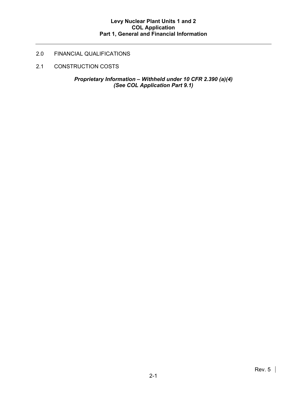# 2.0 FINANCIAL QUALIFICATIONS

2.1 CONSTRUCTION COSTS

*Proprietary Information – Withheld under 10 CFR 2.390 (a)(4) (See COL Application Part 9.1)*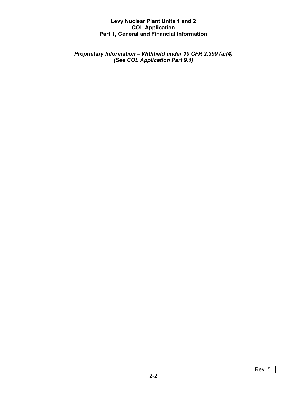*Proprietary Information – Withheld under 10 CFR 2.390 (a)(4) (See COL Application Part 9.1)*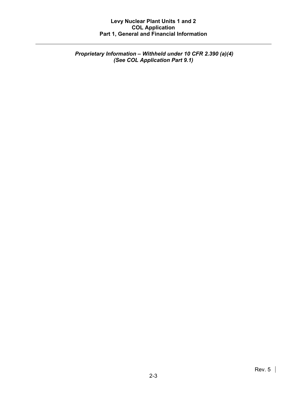*Proprietary Information – Withheld under 10 CFR 2.390 (a)(4) (See COL Application Part 9.1)*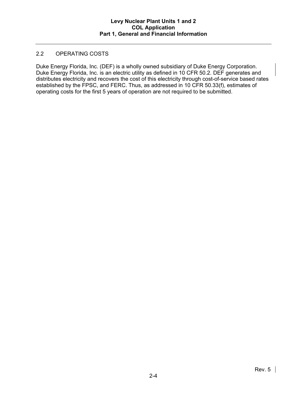### 2.2 OPERATING COSTS

Duke Energy Florida, Inc. (DEF) is a wholly owned subsidiary of Duke Energy Corporation. Duke Energy Florida, Inc. is an electric utility as defined in 10 CFR 50.2. DEF generates and distributes electricity and recovers the cost of this electricity through cost-of-service based rates established by the FPSC, and FERC. Thus, as addressed in 10 CFR 50.33(f), estimates of operating costs for the first 5 years of operation are not required to be submitted.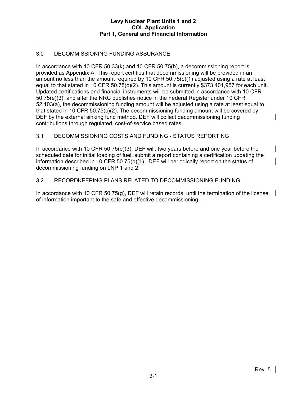# 3.0 DECOMMISSIONING FUNDING ASSURANCE

In accordance with 10 CFR 50.33(k) and 10 CFR 50.75(b), a decommissioning report is provided as Appendix A. This report certifies that decommissioning will be provided in an amount no less than the amount required by 10 CFR 50.75(c)(1) adjusted using a rate at least equal to that stated in 10 CFR 50.75(c)(2). This amount is currently \$373,401,957 for each unit. Updated certifications and financial instruments will be submitted in accordance with 10 CFR 50.75(e)(3); and after the NRC publishes notice in the Federal Register under 10 CFR 52.103(a), the decommissioning funding amount will be adjusted using a rate at least equal to that stated in 10 CFR 50.75(c)(2). The decommissioning funding amount will be covered by DEF by the external sinking fund method. DEF will collect decommissioning funding contributions through regulated, cost-of-service based rates.

# 3.1 DECOMMISSIONING COSTS AND FUNDING - STATUS REPORTING

In accordance with 10 CFR 50.75(e)(3), DEF will, two years before and one year before the scheduled date for initial loading of fuel, submit a report containing a certification updating the information described in 10 CFR 50.75(b)(1). DEF will periodically report on the status of decommissioning funding on LNP 1 and 2.

### 3.2 RECORDKEEPING PLANS RELATED TO DECOMMISSIONING FUNDING

In accordance with 10 CFR 50.75(g), DEF will retain records, until the termination of the license, of information important to the safe and effective decommissioning.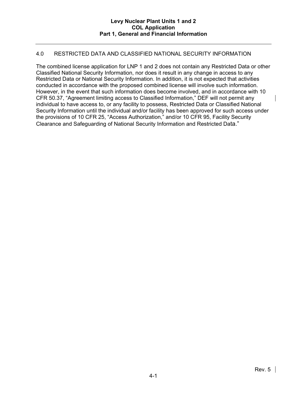### 4.0 RESTRICTED DATA AND CLASSIFIED NATIONAL SECURITY INFORMATION

The combined license application for LNP 1 and 2 does not contain any Restricted Data or other Classified National Security Information, nor does it result in any change in access to any Restricted Data or National Security Information. In addition, it is not expected that activities conducted in accordance with the proposed combined license will involve such information. However, in the event that such information does become involved, and in accordance with 10 CFR 50.37, "Agreement limiting access to Classified Information," DEF will not permit any individual to have access to, or any facility to possess, Restricted Data or Classified National Security Information until the individual and/or facility has been approved for such access under the provisions of 10 CFR 25, "Access Authorization," and/or 10 CFR 95, Facility Security Clearance and Safeguarding of National Security Information and Restricted Data."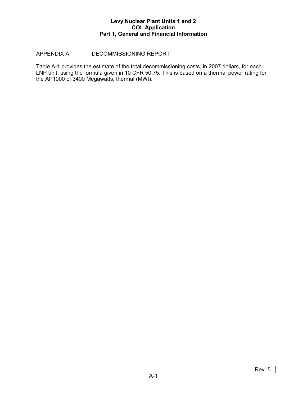### APPENDIX A DECOMMISSIONING REPORT

Table A-1 provides the estimate of the total decommissioning costs, in 2007 dollars, for each LNP unit, using the formula given in 10 CFR 50.75. This is based on a thermal power rating for the AP1000 of 3400 Megawatts, thermal (MWt).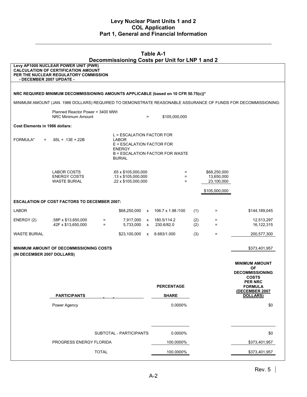| <b>Table A-1</b><br>Decommissioning Costs per Unit for LNP 1 and 2                            |                                                                                                                             |              |                                                                                                                                      |                   |                           |            |                                          |                                                                                                               |
|-----------------------------------------------------------------------------------------------|-----------------------------------------------------------------------------------------------------------------------------|--------------|--------------------------------------------------------------------------------------------------------------------------------------|-------------------|---------------------------|------------|------------------------------------------|---------------------------------------------------------------------------------------------------------------|
| - DECEMBER 2007 UPDATE -                                                                      | Levy AP1000 NUCLEAR POWER UNIT (PWR)<br><b>CALCULATION OF CERTIFICATION AMOUNT</b><br>PER THE NUCLEAR REGULATORY COMMISSION |              |                                                                                                                                      |                   |                           |            |                                          |                                                                                                               |
|                                                                                               |                                                                                                                             |              |                                                                                                                                      |                   |                           |            |                                          |                                                                                                               |
|                                                                                               | NRC REQUIRED MINIMUM DECOMMISSIONING AMOUNTS APPLICABLE (based on 10 CFR 50.75(c))*                                         |              |                                                                                                                                      |                   |                           |            |                                          |                                                                                                               |
|                                                                                               |                                                                                                                             |              |                                                                                                                                      |                   |                           |            |                                          | MINIMUM AMOUNT (JAN. 1986 DOLLARS) REQUIRED TO DEMONSTRATE REASONABLE ASSURANCE OF FUNDS FOR DECOMMISSIONING: |
|                                                                                               | Planned Reactor Power = 3400 MWt<br>NRC Minimum Amount                                                                      |              |                                                                                                                                      | $=$               | \$105,000,000             |            |                                          |                                                                                                               |
| Cost Elements in 1986 dollars:                                                                |                                                                                                                             |              |                                                                                                                                      |                   |                           |            |                                          |                                                                                                               |
| FORMULA*<br>$=$                                                                               | $.65L + .13E + .22B$                                                                                                        |              | L = ESCALATION FACTOR FOR<br>LABOR<br>E = ESCALATION FACTOR FOR<br><b>ENERGY</b><br>B = ESCALATION FACTOR FOR WASTE<br><b>BURIAL</b> |                   |                           |            |                                          |                                                                                                               |
|                                                                                               | LABOR COSTS<br><b>ENERGY COSTS</b><br><b>WASTE BURIAL</b>                                                                   |              | .65 x \$105,000,000<br>$.13 \times $105,000,000$<br>.22 x \$105,000,000                                                              |                   | $=$<br>$=$<br>$=$         |            | \$68,250,000<br>13,650,000<br>23,100,000 |                                                                                                               |
|                                                                                               |                                                                                                                             |              |                                                                                                                                      |                   |                           |            | \$105,000,000                            |                                                                                                               |
|                                                                                               | <b>ESCALATION OF COST FACTORS TO DECEMBER 2007:</b>                                                                         |              |                                                                                                                                      |                   |                           |            |                                          |                                                                                                               |
| <b>LABOR</b>                                                                                  |                                                                                                                             |              | \$68,250,000 x                                                                                                                       |                   | 106.7 x 1.98 /100         | (1)        | Ξ.                                       | \$144,189,045                                                                                                 |
| ENERGY (2)                                                                                    | .58P x \$13,650,000<br>.42F x \$13,650,000                                                                                  | $=$<br>$=$   | 7,917,000<br>5,733,000                                                                                                               | X<br>$\mathsf{x}$ | 180.5/114.2<br>230.6/82.0 | (2)<br>(2) | $=$<br>$=$                               | 12,513,297<br>16,122,315                                                                                      |
| WASTE BURIAL                                                                                  |                                                                                                                             |              | \$23,100,000                                                                                                                         |                   | x 8.683/1.000             | (3)        | Ξ.                                       | 200,577,300                                                                                                   |
| <b>MINIMUM AMOUNT OF DECOMMISSIONING COSTS</b><br>\$373,401,957<br>(IN DECEMBER 2007 DOLLARS) |                                                                                                                             |              |                                                                                                                                      |                   |                           |            |                                          |                                                                                                               |
|                                                                                               |                                                                                                                             |              |                                                                                                                                      |                   |                           |            |                                          | <b>MINIMUM AMOUNT</b><br><b>OF</b>                                                                            |
|                                                                                               |                                                                                                                             |              |                                                                                                                                      |                   |                           |            |                                          | <b>DECOMMISSIONING</b><br><b>COSTS</b>                                                                        |
|                                                                                               |                                                                                                                             |              |                                                                                                                                      |                   | <b>PERCENTAGE</b>         |            |                                          | <b>PER NRC</b><br><b>FORMULA</b>                                                                              |
|                                                                                               | <b>PARTICIPANTS</b>                                                                                                         |              |                                                                                                                                      |                   | <b>SHARE</b>              |            |                                          | (DECEMBER 2007<br><b>DOLLARS)</b>                                                                             |
|                                                                                               | Power Agency                                                                                                                |              |                                                                                                                                      |                   | 0.0000%                   |            |                                          | \$0                                                                                                           |
|                                                                                               |                                                                                                                             |              | SUBTOTAL - PARTICIPANTS                                                                                                              |                   | 0.0000%                   |            |                                          | \$0                                                                                                           |
|                                                                                               | PROGRESS ENERGY FLORIDA                                                                                                     |              |                                                                                                                                      |                   | 100.0000%                 |            |                                          | \$373,401,957                                                                                                 |
|                                                                                               |                                                                                                                             | <b>TOTAL</b> |                                                                                                                                      |                   | 100.0000%                 |            |                                          | \$373,401,957                                                                                                 |